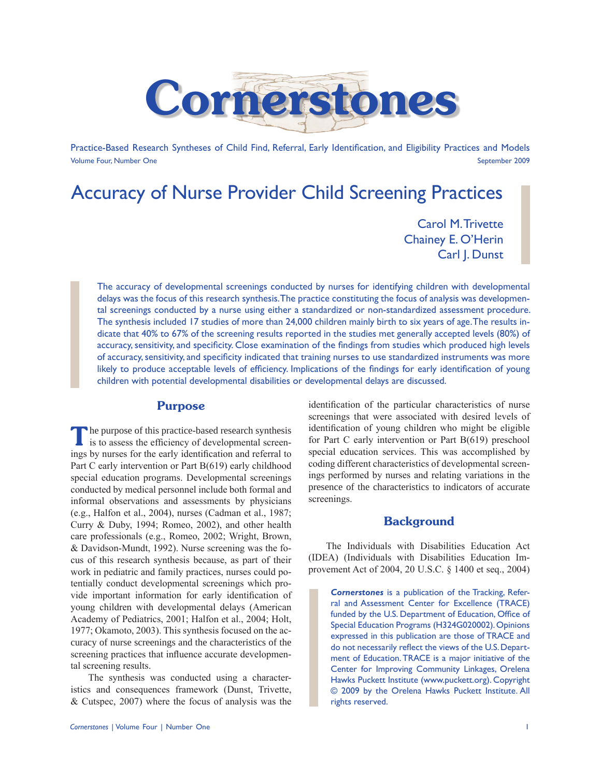

Practice-Based Research Syntheses of Child Find, Referral, Early Identification, and Eligibility Practices and Models Volume Four, Number One September 2009

# Accuracy of Nurse Provider Child Screening Practices

Carol M. Trivette Chainey E. O'Herin Carl J. Dunst

The accuracy of developmental screenings conducted by nurses for identifying children with developmental delays was the focus of this research synthesis. The practice constituting the focus of analysis was developmental screenings conducted by a nurse using either a standardized or non-standardized assessment procedure. The synthesis included 17 studies of more than 24,000 children mainly birth to six years of age. The results indicate that 40% to 67% of the screening results reported in the studies met generally accepted levels (80%) of accuracy, sensitivity, and specificity. Close examination of the findings from studies which produced high levels of accuracy, sensitivity, and specificity indicated that training nurses to use standardized instruments was more likely to produce acceptable levels of efficiency. Implications of the findings for early identification of young children with potential developmental disabilities or developmental delays are discussed.

### Purpose

The purpose of this practice-based research synthesis is to assess the efficiency of developmental screenings by nurses for the early identification and referral to Part C early intervention or Part B(619) early childhood special education programs. Developmental screenings conducted by medical personnel include both formal and informal observations and assessments by physicians (e.g., Halfon et al., 2004), nurses (Cadman et al., 1987; Curry & Duby, 1994; Romeo, 2002), and other health care professionals (e.g., Romeo, 2002; Wright, Brown, & Davidson-Mundt, 1992). Nurse screening was the focus of this research synthesis because, as part of their work in pediatric and family practices, nurses could potentially conduct developmental screenings which provide important information for early identification of young children with developmental delays (American Academy of Pediatrics, 2001; Halfon et al., 2004; Holt, 1977; Okamoto, 2003). This synthesis focused on the accuracy of nurse screenings and the characteristics of the screening practices that influence accurate developmental screening results.

The synthesis was conducted using a characteristics and consequences framework (Dunst, Trivette, & Cutspec, 2007) where the focus of analysis was the identification of the particular characteristics of nurse screenings that were associated with desired levels of identification of young children who might be eligible for Part C early intervention or Part B(619) preschool special education services. This was accomplished by coding different characteristics of developmental screenings performed by nurses and relating variations in the presence of the characteristics to indicators of accurate screenings.

### **Background**

The Individuals with Disabilities Education Act (IDEA) (Individuals with Disabilities Education Improvement Act of 2004, 20 U.S.C. § 1400 et seq., 2004)

*Cornerstones* is a publication of the Tracking, Referral and Assessment Center for Excellence (TRACE) funded by the U.S. Department of Education, Office of Special Education Programs (H324G020002). Opinions expressed in this publication are those of TRACE and do not necessarily reflect the views of the U.S. Department of Education. TRACE is a major initiative of the Center for Improving Community Linkages, Orelena Hawks Puckett Institute (www.puckett.org). Copyright © 2009 by the Orelena Hawks Puckett Institute. All rights reserved.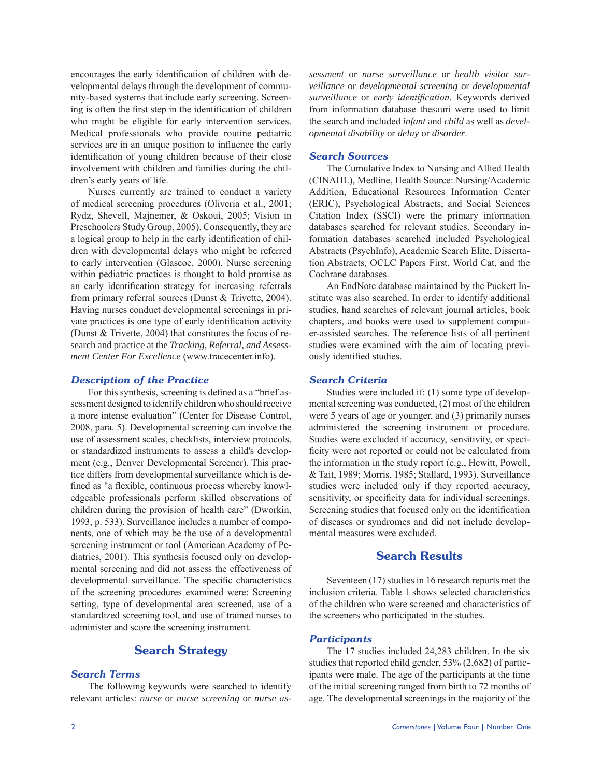encourages the early identification of children with developmental delays through the development of community-based systems that include early screening. Screening is often the first step in the identification of children who might be eligible for early intervention services. Medical professionals who provide routine pediatric services are in an unique position to influence the early identification of young children because of their close involvement with children and families during the children's early years of life.

Nurses currently are trained to conduct a variety of medical screening procedures (Oliveria et al., 2001; Rydz, Shevell, Majnemer, & Oskoui, 2005; Vision in Preschoolers Study Group, 2005). Consequently, they are a logical group to help in the early identification of children with developmental delays who might be referred to early intervention (Glascoe, 2000). Nurse screening within pediatric practices is thought to hold promise as an early identification strategy for increasing referrals from primary referral sources (Dunst & Trivette, 2004). Having nurses conduct developmental screenings in private practices is one type of early identification activity (Dunst & Trivette, 2004) that constitutes the focus of research and practice at the *Tracking, Referral, and Assessment Center For Excellence* (www.tracecenter.info).

### *Description of the Practice*

For this synthesis, screening is defined as a "brief assessment designed to identify children who should receive a more intense evaluation" (Center for Disease Control, 2008, para. 5). Developmental screening can involve the use of assessment scales, checklists, interview protocols, or standardized instruments to assess a child's development (e.g., Denver Developmental Screener). This practice differs from developmental surveillance which is defined as "a flexible, continuous process whereby knowledgeable professionals perform skilled observations of children during the provision of health care" (Dworkin, 1993, p. 533). Surveillance includes a number of components, one of which may be the use of a developmental screening instrument or tool (American Academy of Pediatrics, 2001). This synthesis focused only on developmental screening and did not assess the effectiveness of developmental surveillance. The specific characteristics of the screening procedures examined were: Screening setting, type of developmental area screened, use of a standardized screening tool, and use of trained nurses to administer and score the screening instrument.

# Search Strategy

### *Search Terms*

The following keywords were searched to identify relevant articles: *nurse* or *nurse screening* or *nurse as-*

#### *Search Sources*

The Cumulative Index to Nursing and Allied Health (CINAHL), Medline, Health Source: Nursing/Academic Addition, Educational Resources Information Center (ERIC), Psychological Abstracts, and Social Sciences Citation Index (SSCI) were the primary information databases searched for relevant studies. Secondary information databases searched included Psychological Abstracts (PsychInfo), Academic Search Elite, Dissertation Abstracts, OCLC Papers First, World Cat, and the Cochrane databases.

An EndNote database maintained by the Puckett Institute was also searched. In order to identify additional studies, hand searches of relevant journal articles, book chapters, and books were used to supplement computer-assisted searches. The reference lists of all pertinent studies were examined with the aim of locating previously identified studies.

#### *Search Criteria*

Studies were included if: (1) some type of developmental screening was conducted, (2) most of the children were 5 years of age or younger, and (3) primarily nurses administered the screening instrument or procedure. Studies were excluded if accuracy, sensitivity, or specificity were not reported or could not be calculated from the information in the study report (e.g., Hewitt, Powell, & Tait, 1989; Morris, 1985; Stallard, 1993). Surveillance studies were included only if they reported accuracy, sensitivity, or specificity data for individual screenings. Screening studies that focused only on the identification of diseases or syndromes and did not include developmental measures were excluded.

## Search Results

Seventeen (17) studies in 16 research reports met the inclusion criteria. Table 1 shows selected characteristics of the children who were screened and characteristics of the screeners who participated in the studies.

#### *Participants*

The 17 studies included 24,283 children. In the six studies that reported child gender, 53% (2,682) of participants were male. The age of the participants at the time of the initial screening ranged from birth to 72 months of age. The developmental screenings in the majority of the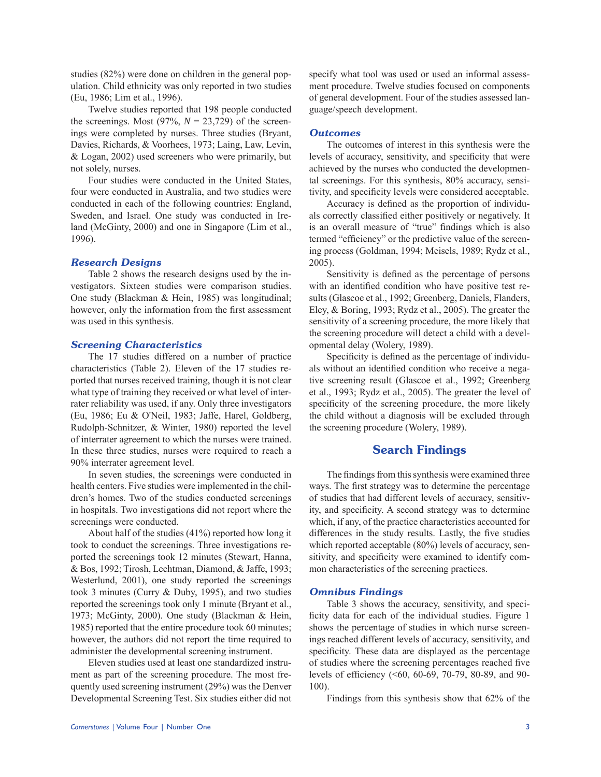studies (82%) were done on children in the general population. Child ethnicity was only reported in two studies (Eu, 1986; Lim et al., 1996).

Twelve studies reported that 198 people conducted the screenings. Most  $(97\%, N = 23,729)$  of the screenings were completed by nurses. Three studies (Bryant, Davies, Richards, & Voorhees, 1973; Laing, Law, Levin, & Logan, 2002) used screeners who were primarily, but not solely, nurses.

Four studies were conducted in the United States, four were conducted in Australia, and two studies were conducted in each of the following countries: England, Sweden, and Israel. One study was conducted in Ireland (McGinty, 2000) and one in Singapore (Lim et al., 1996).

#### *Research Designs*

Table 2 shows the research designs used by the investigators. Sixteen studies were comparison studies. One study (Blackman & Hein, 1985) was longitudinal; however, only the information from the first assessment was used in this synthesis.

### *Screening Characteristics*

The 17 studies differed on a number of practice characteristics (Table 2). Eleven of the 17 studies reported that nurses received training, though it is not clear what type of training they received or what level of interrater reliability was used, if any. Only three investigators (Eu, 1986; Eu & O'Neil, 1983; Jaffe, Harel, Goldberg, Rudolph-Schnitzer, & Winter, 1980) reported the level of interrater agreement to which the nurses were trained. In these three studies, nurses were required to reach a 90% interrater agreement level.

In seven studies, the screenings were conducted in health centers. Five studies were implemented in the children's homes. Two of the studies conducted screenings in hospitals. Two investigations did not report where the screenings were conducted.

About half of the studies (41%) reported how long it took to conduct the screenings. Three investigations reported the screenings took 12 minutes (Stewart, Hanna, & Bos, 1992; Tirosh, Lechtman, Diamond, & Jaffe, 1993; Westerlund, 2001), one study reported the screenings took 3 minutes (Curry & Duby, 1995), and two studies reported the screenings took only 1 minute (Bryant et al., 1973; McGinty, 2000). One study (Blackman & Hein, 1985) reported that the entire procedure took 60 minutes; however, the authors did not report the time required to administer the developmental screening instrument.

Eleven studies used at least one standardized instrument as part of the screening procedure. The most frequently used screening instrument (29%) was the Denver Developmental Screening Test. Six studies either did not specify what tool was used or used an informal assessment procedure. Twelve studies focused on components of general development. Four of the studies assessed language/speech development.

#### *Outcomes*

The outcomes of interest in this synthesis were the levels of accuracy, sensitivity, and specificity that were achieved by the nurses who conducted the developmental screenings. For this synthesis, 80% accuracy, sensitivity, and specificity levels were considered acceptable.

Accuracy is defined as the proportion of individuals correctly classified either positively or negatively. It is an overall measure of "true" findings which is also termed "efficiency" or the predictive value of the screening process (Goldman, 1994; Meisels, 1989; Rydz et al., 2005).

Sensitivity is defined as the percentage of persons with an identified condition who have positive test results (Glascoe et al., 1992; Greenberg, Daniels, Flanders, Eley, & Boring, 1993; Rydz et al., 2005). The greater the sensitivity of a screening procedure, the more likely that the screening procedure will detect a child with a developmental delay (Wolery, 1989).

Specificity is defined as the percentage of individuals without an identified condition who receive a negative screening result (Glascoe et al., 1992; Greenberg et al., 1993; Rydz et al., 2005). The greater the level of specificity of the screening procedure, the more likely the child without a diagnosis will be excluded through the screening procedure (Wolery, 1989).

# Search Findings

The findings from this synthesis were examined three ways. The first strategy was to determine the percentage of studies that had different levels of accuracy, sensitivity, and specificity. A second strategy was to determine which, if any, of the practice characteristics accounted for differences in the study results. Lastly, the five studies which reported acceptable (80%) levels of accuracy, sensitivity, and specificity were examined to identify common characteristics of the screening practices.

### *Omnibus Findings*

Table 3 shows the accuracy, sensitivity, and specificity data for each of the individual studies. Figure 1 shows the percentage of studies in which nurse screenings reached different levels of accuracy, sensitivity, and specificity. These data are displayed as the percentage of studies where the screening percentages reached five levels of efficiency (<60, 60-69, 70-79, 80-89, and 90- 100).

Findings from this synthesis show that 62% of the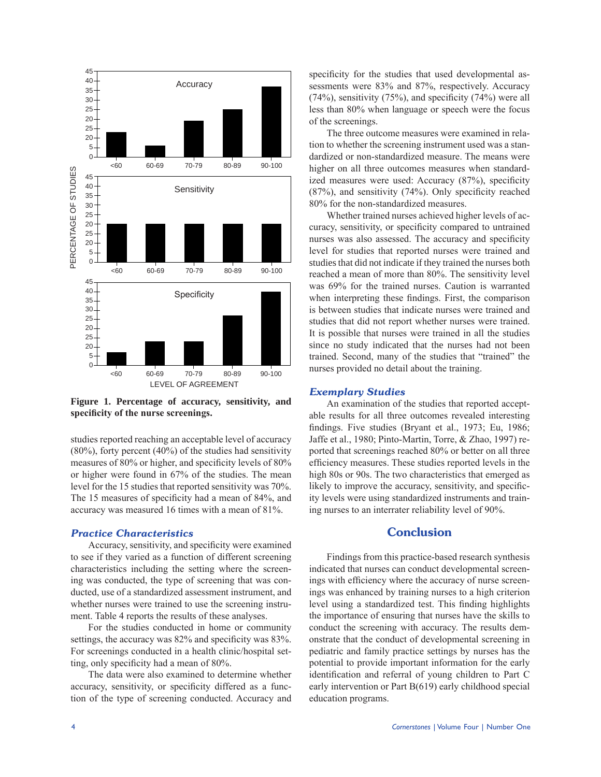

Figure 1. Percentage of accuracy, sensitivity, and **specificity of the nurse screenings.**

studies reported reaching an acceptable level of accuracy (80%), forty percent (40%) of the studies had sensitivity measures of 80% or higher, and specificity levels of 80% or higher were found in 67% of the studies. The mean level for the 15 studies that reported sensitivity was 70%. The 15 measures of specificity had a mean of 84%, and accuracy was measured 16 times with a mean of 81%.

#### *Practice Characteristics*

Accuracy, sensitivity, and specificity were examined to see if they varied as a function of different screening characteristics including the setting where the screening was conducted, the type of screening that was conducted, use of a standardized assessment instrument, and whether nurses were trained to use the screening instrument. Table 4 reports the results of these analyses.

For the studies conducted in home or community settings, the accuracy was 82% and specificity was 83%. For screenings conducted in a health clinic/hospital setting, only specificity had a mean of 80%.

The data were also examined to determine whether accuracy, sensitivity, or specificity differed as a function of the type of screening conducted. Accuracy and specificity for the studies that used developmental assessments were 83% and 87%, respectively. Accuracy (74%), sensitivity (75%), and specificity (74%) were all less than 80% when language or speech were the focus of the screenings.

The three outcome measures were examined in relation to whether the screening instrument used was a standardized or non-standardized measure. The means were higher on all three outcomes measures when standardized measures were used: Accuracy (87%), specificity (87%), and sensitivity (74%). Only specificity reached 80% for the non-standardized measures.

Whether trained nurses achieved higher levels of accuracy, sensitivity, or specificity compared to untrained nurses was also assessed. The accuracy and specificity level for studies that reported nurses were trained and studies that did not indicate if they trained the nurses both reached a mean of more than 80%. The sensitivity level was 69% for the trained nurses. Caution is warranted when interpreting these findings. First, the comparison is between studies that indicate nurses were trained and studies that did not report whether nurses were trained. It is possible that nurses were trained in all the studies since no study indicated that the nurses had not been trained. Second, many of the studies that "trained" the nurses provided no detail about the training.

#### *Exemplary Studies*

An examination of the studies that reported acceptable results for all three outcomes revealed interesting findings. Five studies (Bryant et al., 1973; Eu, 1986; Jaffe et al., 1980; Pinto-Martin, Torre, & Zhao, 1997) reported that screenings reached 80% or better on all three efficiency measures. These studies reported levels in the high 80s or 90s. The two characteristics that emerged as likely to improve the accuracy, sensitivity, and specificity levels were using standardized instruments and training nurses to an interrater reliability level of 90%.

### **Conclusion**

Findings from this practice-based research synthesis indicated that nurses can conduct developmental screenings with efficiency where the accuracy of nurse screenings was enhanced by training nurses to a high criterion level using a standardized test. This finding highlights the importance of ensuring that nurses have the skills to conduct the screening with accuracy. The results demonstrate that the conduct of developmental screening in pediatric and family practice settings by nurses has the potential to provide important information for the early identification and referral of young children to Part C early intervention or Part B(619) early childhood special education programs.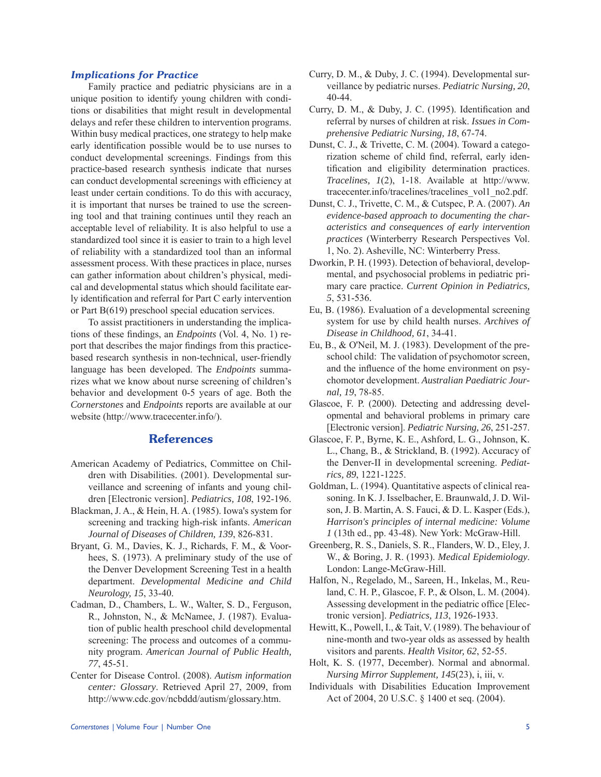### *Implications for Practice*

Family practice and pediatric physicians are in a unique position to identify young children with conditions or disabilities that might result in developmental delays and refer these children to intervention programs. Within busy medical practices, one strategy to help make early identification possible would be to use nurses to conduct developmental screenings. Findings from this practice-based research synthesis indicate that nurses can conduct developmental screenings with efficiency at least under certain conditions. To do this with accuracy, it is important that nurses be trained to use the screening tool and that training continues until they reach an acceptable level of reliability. It is also helpful to use a standardized tool since it is easier to train to a high level of reliability with a standardized tool than an informal assessment process. With these practices in place, nurses can gather information about children's physical, medical and developmental status which should facilitate early identification and referral for Part C early intervention or Part B(619) preschool special education services.

To assist practitioners in understanding the implications of these findings, an *Endpoints* (Vol. 4, No. 1) report that describes the major findings from this practicebased research synthesis in non-technical, user-friendly language has been developed. The *Endpoints* summarizes what we know about nurse screening of children's behavior and development 0-5 years of age. Both the *Cornerstones* and *Endpoints* reports are available at our website (http://www.tracecenter.info/).

# **References**

- American Academy of Pediatrics, Committee on Children with Disabilities. (2001). Developmental surveillance and screening of infants and young children [Electronic version]. *Pediatrics, 108*, 192-196.
- Blackman, J. A., & Hein, H. A. (1985). Iowa's system for screening and tracking high-risk infants. *American Journal of Diseases of Children, 139*, 826-831.
- Bryant, G. M., Davies, K. J., Richards, F. M., & Voorhees, S. (1973). A preliminary study of the use of the Denver Development Screening Test in a health department. *Developmental Medicine and Child Neurology, 15*, 33-40.
- Cadman, D., Chambers, L. W., Walter, S. D., Ferguson, R., Johnston, N., & McNamee, J. (1987). Evaluation of public health preschool child developmental screening: The process and outcomes of a community program. *American Journal of Public Health, 77*, 45-51.
- Center for Disease Control. (2008). *Autism information center: Glossary*. Retrieved April 27, 2009, from http://www.cdc.gov/ncbddd/autism/glossary.htm.
- Curry, D. M., & Duby, J. C. (1994). Developmental surveillance by pediatric nurses. *Pediatric Nursing, 20*, 40-44.
- Curry, D. M., & Duby, J. C. (1995). Identification and referral by nurses of children at risk. *Issues in Comprehensive Pediatric Nursing, 18*, 67-74.
- Dunst, C. J., & Trivette, C. M. (2004). Toward a categorization scheme of child find, referral, early identification and eligibility determination practices. *Tracelines, 1*(2), 1-18. Available at http://www. tracecenter.info/tracelines/tracelines\_vol1\_no2.pdf.
- Dunst, C. J., Trivette, C. M., & Cutspec, P. A. (2007). *An evidence-based approach to documenting the characteristics and consequences of early intervention practices* (Winterberry Research Perspectives Vol. 1, No. 2). Asheville, NC: Winterberry Press.
- Dworkin, P. H. (1993). Detection of behavioral, developmental, and psychosocial problems in pediatric primary care practice. *Current Opinion in Pediatrics, 5*, 531-536.
- Eu, B. (1986). Evaluation of a developmental screening system for use by child health nurses. *Archives of Disease in Childhood, 61*, 34-41.
- Eu, B., & O'Neil, M. J. (1983). Development of the preschool child: The validation of psychomotor screen, and the influence of the home environment on psychomotor development. *Australian Paediatric Journal, 19*, 78-85.
- Glascoe, F. P. (2000). Detecting and addressing developmental and behavioral problems in primary care [Electronic version]. *Pediatric Nursing, 26*, 251-257.
- Glascoe, F. P., Byrne, K. E., Ashford, L. G., Johnson, K. L., Chang, B., & Strickland, B. (1992). Accuracy of the Denver-II in developmental screening. *Pediatrics, 89*, 1221-1225.
- Goldman, L. (1994). Quantitative aspects of clinical reasoning. In K. J. Isselbacher, E. Braunwald, J. D. Wilson, J. B. Martin, A. S. Fauci, & D. L. Kasper (Eds.), *Harrison's principles of internal medicine: Volume 1* (13th ed., pp. 43-48). New York: McGraw-Hill.
- Greenberg, R. S., Daniels, S. R., Flanders, W. D., Eley, J. W., & Boring, J. R. (1993). *Medical Epidemiology*. London: Lange-McGraw-Hill.
- Halfon, N., Regelado, M., Sareen, H., Inkelas, M., Reuland, C. H. P., Glascoe, F. P., & Olson, L. M. (2004). Assessing development in the pediatric office [Electronic version]. *Pediatrics, 113*, 1926-1933.
- Hewitt, K., Powell, I., & Tait, V. (1989). The behaviour of nine-month and two-year olds as assessed by health visitors and parents. *Health Visitor, 62*, 52-55.
- Holt, K. S. (1977, December). Normal and abnormal. *Nursing Mirror Supplement, 145*(23), i, iii, v.
- Individuals with Disabilities Education Improvement Act of 2004, 20 U.S.C. § 1400 et seq. (2004).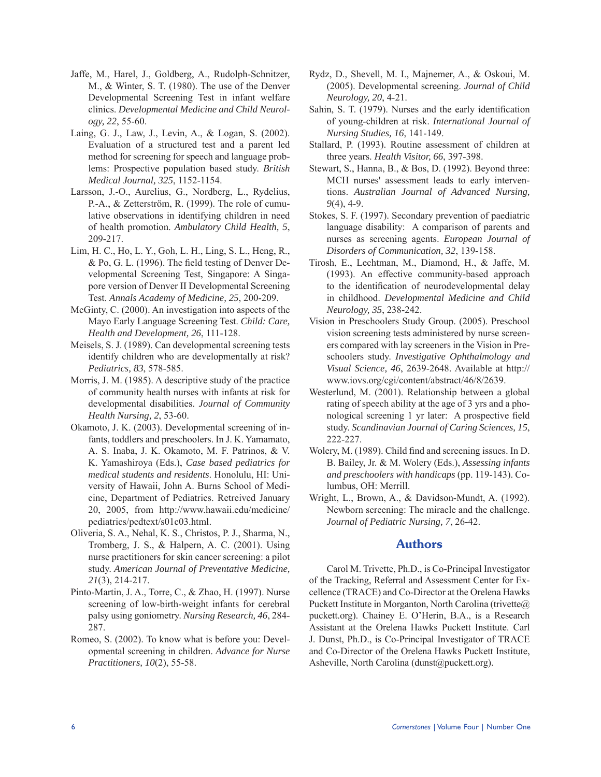- Jaffe, M., Harel, J., Goldberg, A., Rudolph-Schnitzer, M., & Winter, S. T. (1980). The use of the Denver Developmental Screening Test in infant welfare clinics. *Developmental Medicine and Child Neurology, 22*, 55-60.
- Laing, G. J., Law, J., Levin, A., & Logan, S. (2002). Evaluation of a structured test and a parent led method for screening for speech and language problems: Prospective population based study. *British Medical Journal, 325*, 1152-1154.
- Larsson, J.-O., Aurelius, G., Nordberg, L., Rydelius, P.-A., & Zetterström, R. (1999). The role of cumulative observations in identifying children in need of health promotion. *Ambulatory Child Health, 5*, 209-217.
- Lim, H. C., Ho, L. Y., Goh, L. H., Ling, S. L., Heng, R., & Po, G. L. (1996). The field testing of Denver Developmental Screening Test, Singapore: A Singapore version of Denver II Developmental Screening Test. *Annals Academy of Medicine, 25*, 200-209.
- McGinty, C. (2000). An investigation into aspects of the Mayo Early Language Screening Test. *Child: Care, Health and Development, 26*, 111-128.
- Meisels, S. J. (1989). Can developmental screening tests identify children who are developmentally at risk? *Pediatrics, 83*, 578-585.
- Morris, J. M. (1985). A descriptive study of the practice of community health nurses with infants at risk for developmental disabilities. *Journal of Community Health Nursing, 2*, 53-60.
- Okamoto, J. K. (2003). Developmental screening of infants, toddlers and preschoolers. In J. K. Yamamato, A. S. Inaba, J. K. Okamoto, M. F. Patrinos, & V. K. Yamashiroya (Eds.), *Case based pediatrics for medical students and residents*. Honolulu, HI: University of Hawaii, John A. Burns School of Medicine, Department of Pediatrics. Retreived January 20, 2005, from http://www.hawaii.edu/medicine/ pediatrics/pedtext/s01c03.html.
- Oliveria, S. A., Nehal, K. S., Christos, P. J., Sharma, N., Tromberg, J. S., & Halpern, A. C. (2001). Using nurse practitioners for skin cancer screening: a pilot study. *American Journal of Preventative Medicine, 21*(3), 214-217.
- Pinto-Martin, J. A., Torre, C., & Zhao, H. (1997). Nurse screening of low-birth-weight infants for cerebral palsy using goniometry. *Nursing Research, 46*, 284- 287.
- Romeo, S. (2002). To know what is before you: Developmental screening in children. *Advance for Nurse Practitioners, 10*(2), 55-58.
- Rydz, D., Shevell, M. I., Majnemer, A., & Oskoui, M. (2005). Developmental screening. *Journal of Child Neurology, 20*, 4-21.
- Sahin, S. T. (1979). Nurses and the early identification of young-children at risk. *International Journal of Nursing Studies, 16*, 141-149.
- Stallard, P. (1993). Routine assessment of children at three years. *Health Visitor, 66*, 397-398.
- Stewart, S., Hanna, B., & Bos, D. (1992). Beyond three: MCH nurses' assessment leads to early interventions. *Australian Journal of Advanced Nursing, 9*(4), 4-9.
- Stokes, S. F. (1997). Secondary prevention of paediatric language disability: A comparison of parents and nurses as screening agents. *European Journal of Disorders of Communication, 32*, 139-158.
- Tirosh, E., Lechtman, M., Diamond, H., & Jaffe, M. (1993). An effective community-based approach to the identification of neurodevelopmental delay in childhood. *Developmental Medicine and Child Neurology, 35*, 238-242.
- Vision in Preschoolers Study Group. (2005). Preschool vision screening tests administered by nurse screeners compared with lay screeners in the Vision in Preschoolers study. *Investigative Ophthalmology and Visual Science, 46*, 2639-2648. Available at http:// www.iovs.org/cgi/content/abstract/46/8/2639.
- Westerlund, M. (2001). Relationship between a global rating of speech ability at the age of 3 yrs and a phonological screening 1 yr later: A prospective field study. *Scandinavian Journal of Caring Sciences, 15*, 222-227.
- Wolery, M. (1989). Child find and screening issues. In D. B. Bailey, Jr. & M. Wolery (Eds.), *Assessing infants and preschoolers with handicaps* (pp. 119-143). Columbus, OH: Merrill.
- Wright, L., Brown, A., & Davidson-Mundt, A. (1992). Newborn screening: The miracle and the challenge. *Journal of Pediatric Nursing, 7*, 26-42.

# Authors

Carol M. Trivette, Ph.D., is Co-Principal Investigator of the Tracking, Referral and Assessment Center for Excellence (TRACE) and Co-Director at the Orelena Hawks Puckett Institute in Morganton, North Carolina (trivette@) puckett.org). Chainey E. O'Herin, B.A., is a Research Assistant at the Orelena Hawks Puckett Institute. Carl J. Dunst, Ph.D., is Co-Principal Investigator of TRACE and Co-Director of the Orelena Hawks Puckett Institute, Asheville, North Carolina (dunst@puckett.org).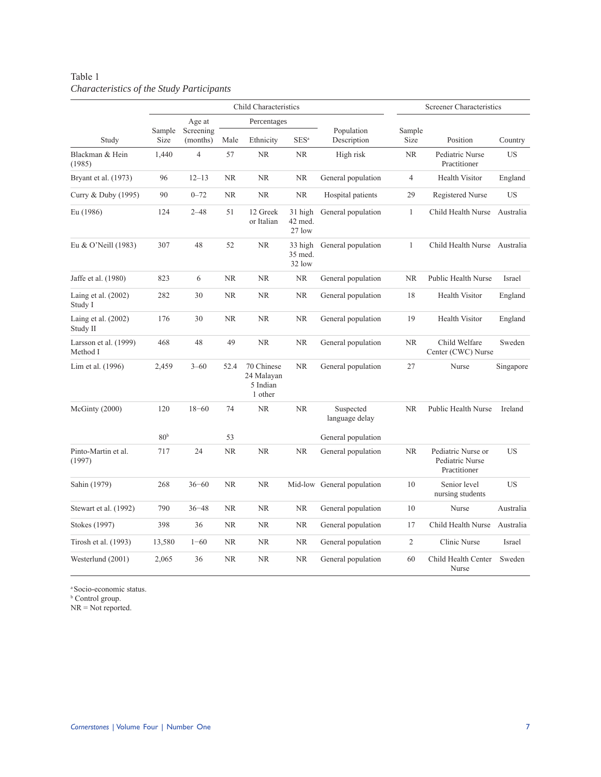# Table 1 *Characteristics of the Study Participants*

|                                   |                 |                       |             | Child Characteristics                           | Screener Characteristics     |                             |                                                                    |                                     |           |
|-----------------------------------|-----------------|-----------------------|-------------|-------------------------------------------------|------------------------------|-----------------------------|--------------------------------------------------------------------|-------------------------------------|-----------|
|                                   |                 | Age at                | Percentages |                                                 |                              |                             |                                                                    |                                     |           |
| Study                             | Sample<br>Size  | Screening<br>(months) | Male        | Ethnicity                                       | SES <sup>a</sup>             | Population<br>Description   | Sample<br>Size                                                     | Position                            | Country   |
| Blackman & Hein<br>(1985)         | 1,440           | $\overline{4}$        | 57          | <b>NR</b>                                       | NR.                          | High risk                   | <b>NR</b>                                                          | Pediatric Nurse<br>Practitioner     | <b>US</b> |
| Bryant et al. (1973)              | 96              | $12 - 13$             | <b>NR</b>   | <b>NR</b>                                       | NR                           | General population          | $\overline{4}$                                                     | <b>Health Visitor</b><br>England    |           |
| Curry & Duby (1995)               | 90              | $0 - 72$              | <b>NR</b>   | <b>NR</b>                                       | <b>NR</b>                    | Hospital patients           | 29                                                                 | Registered Nurse                    | <b>US</b> |
| Eu (1986)                         | 124             | $2 - 48$              | 51          | 12 Greek<br>or Italian                          | 31 high<br>42 med.<br>27 low | General population          | $\mathbf{1}$                                                       | Child Health Nurse                  |           |
| Eu & O'Neill (1983)               | 307             | 48                    | 52          | <b>NR</b>                                       | 33 high<br>35 med.<br>32 low | General population          | $\mathbf{1}$                                                       | Child Health Nurse                  | Australia |
| Jaffe et al. (1980)               | 823             | 6                     | <b>NR</b>   | <b>NR</b>                                       | <b>NR</b>                    | General population          | <b>NR</b>                                                          | Public Health Nurse                 |           |
| Laing et al. (2002)<br>Study I    | 282             | 30                    | <b>NR</b>   | <b>NR</b>                                       | <b>NR</b>                    | General population          | 18                                                                 | Health Visitor                      | England   |
| Laing et al. (2002)<br>Study II   | 176             | 30                    | NR          | <b>NR</b>                                       | <b>NR</b>                    | General population          | 19                                                                 | <b>Health Visitor</b>               | England   |
| Larsson et al. (1999)<br>Method I | 468             | 48                    | 49          | <b>NR</b>                                       | <b>NR</b>                    | General population          | <b>NR</b>                                                          | Child Welfare<br>Center (CWC) Nurse | Sweden    |
| Lim et al. (1996)                 | 2,459           | $3 - 60$              | 52.4        | 70 Chinese<br>24 Malayan<br>5 Indian<br>1 other | NR                           | General population          | 27                                                                 | Nurse                               | Singapore |
| McGinty (2000)                    | 120             | $18 - 60$             | 74          | <b>NR</b>                                       | <b>NR</b>                    | Suspected<br>language delay | <b>NR</b>                                                          | Public Health Nurse                 | Ireland   |
|                                   | 80 <sup>b</sup> |                       | 53          |                                                 |                              | General population          |                                                                    |                                     |           |
| Pinto-Martin et al.<br>(1997)     | 717             | 24                    | <b>NR</b>   | <b>NR</b>                                       | NR                           | General population          | <b>NR</b><br>Pediatric Nurse or<br>Pediatric Nurse<br>Practitioner |                                     | US        |
| Sahin (1979)                      | 268             | $36 - 60$             | <b>NR</b>   | <b>NR</b>                                       | Mid-low                      | General population          | 10                                                                 | Senior level<br>nursing students    | <b>US</b> |
| Stewart et al. (1992)             | 790             | $36 - 48$             | <b>NR</b>   | <b>NR</b>                                       | <b>NR</b>                    | General population          | 10                                                                 | Nurse                               | Australia |
| Stokes (1997)                     | 398             | 36                    | <b>NR</b>   | <b>NR</b>                                       | <b>NR</b>                    | General population          | 17                                                                 | Child Health Nurse                  | Australia |
| Tirosh et al. (1993)              | 13,580          | $1 - 60$              | <b>NR</b>   | NR                                              | <b>NR</b>                    | General population          | $\overline{c}$                                                     | Clinic Nurse                        | Israel    |
| Westerlund (2001)                 | 2,065           | 36                    | <b>NR</b>   | <b>NR</b>                                       | <b>NR</b>                    | General population          | 60                                                                 | Child Health Center<br>Nurse        | Sweden    |

<sup>a</sup>Socio-economic status.

**b** Control group.

NR = Not reported.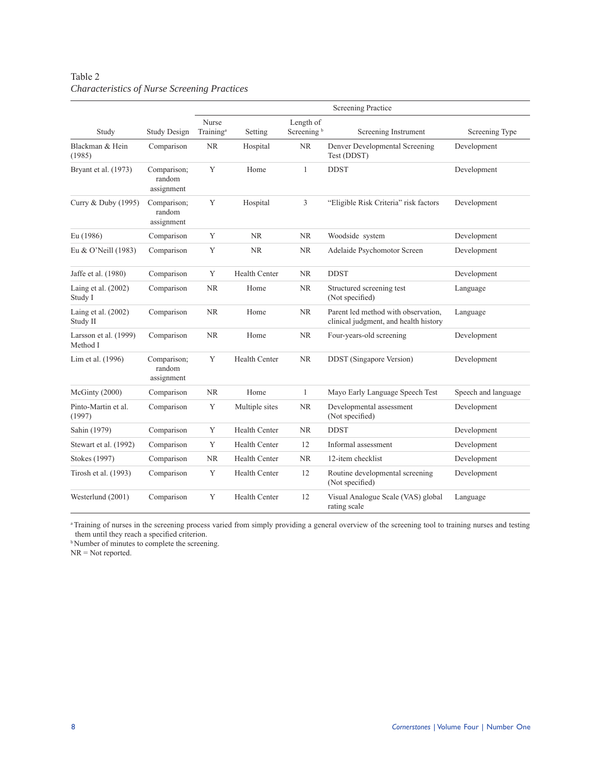# Table 2 *Characteristics of Nurse Screening Practices*

|                                   |                                     | <b>Screening Practice</b>      |                      |                                     |                                                                              |                     |  |
|-----------------------------------|-------------------------------------|--------------------------------|----------------------|-------------------------------------|------------------------------------------------------------------------------|---------------------|--|
| Study                             | <b>Study Design</b>                 | Nurse<br>Training <sup>a</sup> | Setting              | Length of<br>Screening <sup>b</sup> | Screening Instrument                                                         | Screening Type      |  |
| Blackman & Hein<br>(1985)         | Comparison                          | <b>NR</b>                      | Hospital             | <b>NR</b>                           | Denver Developmental Screening<br>Test (DDST)                                | Development         |  |
| Bryant et al. (1973)              | Comparison;<br>random<br>assignment | Y                              | Home                 | $\mathbf{1}$                        | <b>DDST</b>                                                                  | Development         |  |
| Curry & Duby (1995)               | Comparison;<br>random<br>assignment | Y                              | Hospital             | 3                                   | "Eligible Risk Criteria" risk factors                                        | Development         |  |
| Eu (1986)                         | Comparison                          | Y                              | <b>NR</b>            | <b>NR</b>                           | Woodside system                                                              | Development         |  |
| Eu & O'Neill (1983)               | Comparison                          | Y                              | <b>NR</b>            | <b>NR</b>                           | Adelaide Psychomotor Screen                                                  | Development         |  |
| Jaffe et al. (1980)               | Comparison                          | Y                              | <b>Health Center</b> | NR                                  | <b>DDST</b>                                                                  | Development         |  |
| Laing et al. (2002)<br>Study I    | Comparison                          | <b>NR</b>                      | Home                 | <b>NR</b>                           | Structured screening test<br>(Not specified)                                 | Language            |  |
| Laing et al. $(2002)$<br>Study II | Comparison                          | <b>NR</b>                      | Home                 | <b>NR</b>                           | Parent led method with observation,<br>clinical judgment, and health history | Language            |  |
| Larsson et al. (1999)<br>Method I | Comparison                          | <b>NR</b>                      | Home                 | <b>NR</b>                           | Four-years-old screening                                                     | Development         |  |
| Lim et al. (1996)                 | Comparison;<br>random<br>assignment | Y                              | Health Center        | NR                                  | <b>DDST</b> (Singapore Version)                                              | Development         |  |
| McGinty (2000)                    | Comparison                          | NR.                            | Home                 | $\mathbf{1}$                        | Mayo Early Language Speech Test                                              | Speech and language |  |
| Pinto-Martin et al.<br>(1997)     | Comparison                          | Y                              | Multiple sites       | NR                                  | Developmental assessment<br>(Not specified)                                  | Development         |  |
| Sahin (1979)                      | Comparison                          | Y                              | <b>Health Center</b> | NR                                  | <b>DDST</b>                                                                  | Development         |  |
| Stewart et al. (1992)             | Comparison                          | Y                              | <b>Health Center</b> | 12                                  | Informal assessment                                                          | Development         |  |
| Stokes (1997)                     | Comparison                          | NR.                            | <b>Health Center</b> | NR                                  | 12-item checklist                                                            | Development         |  |
| Tirosh et al. (1993)              | Comparison                          | Y                              | <b>Health Center</b> | 12                                  | Routine developmental screening<br>(Not specified)                           | Development         |  |
| Westerlund (2001)                 | Comparison                          | Y                              | <b>Health Center</b> | 12                                  | Visual Analogue Scale (VAS) global<br>rating scale                           | Language            |  |

<sup>a</sup>Training of nurses in the screening process varied from simply providing a general overview of the screening tool to training nurses and testing them until they reach a specified criterion.

<sup>b</sup>Number of minutes to complete the screening.

NR = Not reported.